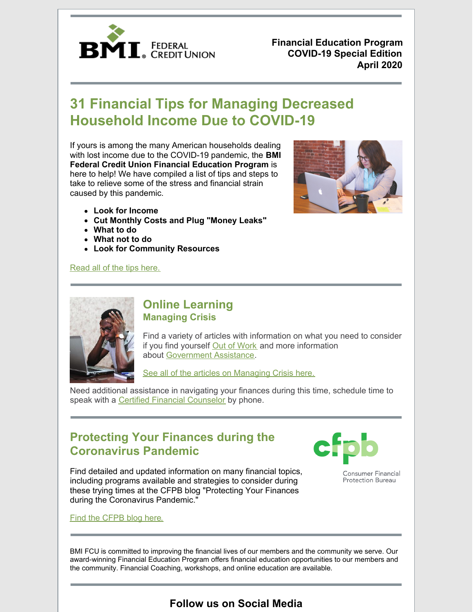

**Financial Education Program COVID-19 Special Edition April 2020**

# **31 Financial Tips for Managing Decreased Household Income Due to COVID-19**

If yours is among the many American households dealing with lost income due to the COVID-19 pandemic, the **BMI Federal Credit Union Financial Education Program** is here to help! We have compiled a list of tips and steps to take to relieve some of the stress and financial strain caused by this pandemic.

- **Look for Income**
- **Cut Monthly Costs and Plug "Money Leaks"**
- **What to do**
- **What not to do**
- **Look for Community Resources**

### [Read](https://www.bmifcu.org/news/31-tips-for-covid-19.html) all of the tips here.





# **Online Learning Managing Crisis**

Find a variety of articles with information on what you need to consider if you find yourself Out of [Work](https://bmifcu.learnbanzai.com/wellness/resources/out-of-work) and more information about [Government](https://bmifcu.learnbanzai.com/wellness/resources/government-assistance) Assistance.

See all of the articles on [Managing](https://bmifcu.learnbanzai.com/wellness/collections/managing-crisis) Crisis here.

Need additional assistance in navigating your finances during this time, schedule time to speak with a Certified Financial [Counselor](https://www.bmifcu.org/financial_coach.html) by phone.

# **Protecting Your Finances during the Coronavirus Pandemic**



Find detailed and updated information on many financial topics, including programs available and strategies to consider during these trying times at the CFPB blog "Protecting Your Finances during the Coronavirus Pandemic."

Find the [CFPB](https://www.consumerfinance.gov/coronavirus/) blog her[e.](https://www.consumerfinance.gov/coronovirus/)

Consumer Financial **Protection Bureau** 

BMI [FCU](https://www.bmifcu.org/) is committed to improving the financial lives of our members and the community we serve. Our award-winning Financial Education Program offers financial education opportunities to our members and the community. Financial Coaching, workshops, and online education are available.

# **Follow us on Social Media**